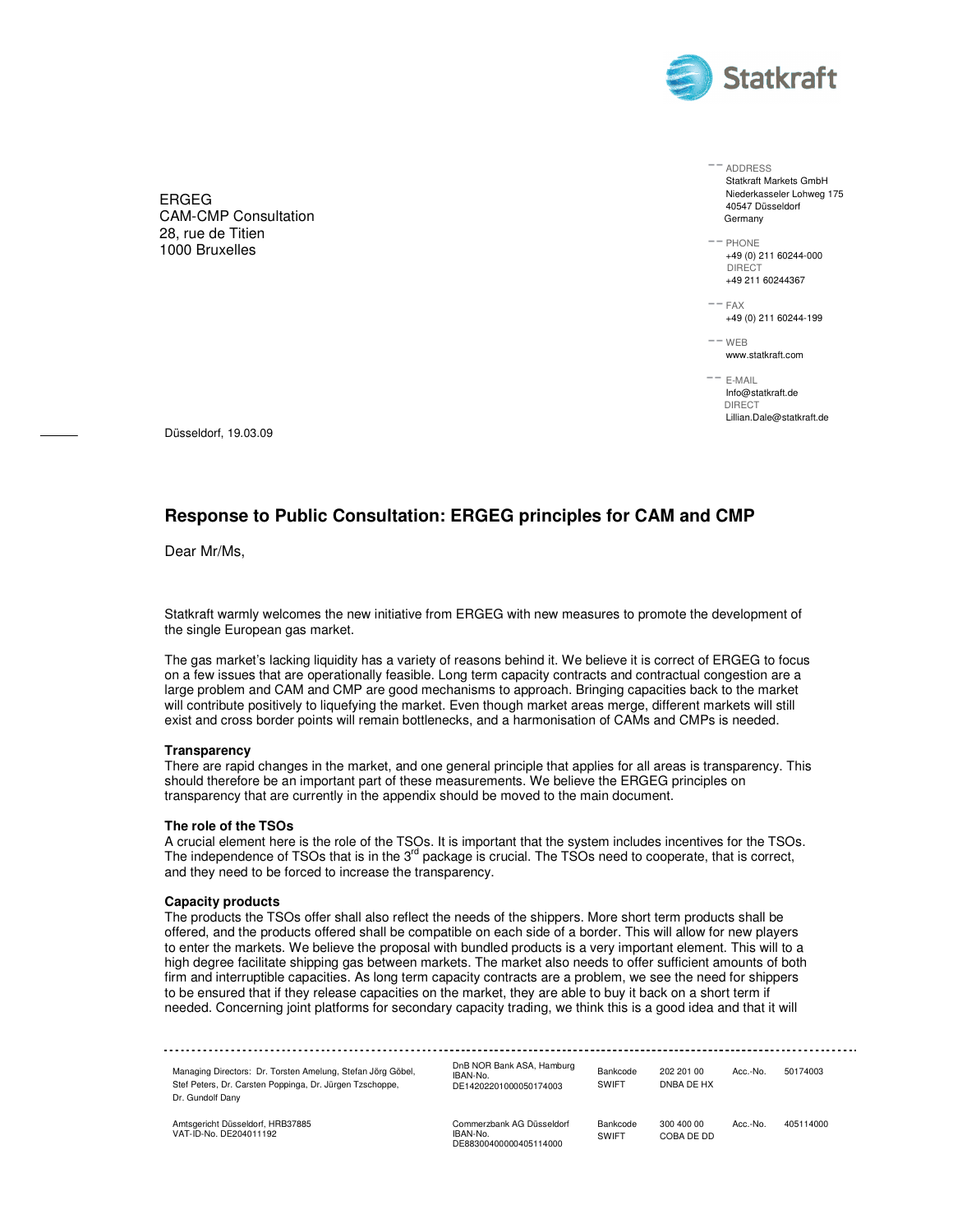

ERGEG CAM-CMP Consultation 28, rue de Titien 1000 Bruxelles

 ADDRESS Statkraft Markets GmbH Niederkasseler Lohweg 175 40547 Düsseldorf Germany

 $--$  PHONE +49 (0) 211 60244-000 DIRECT +49 211 60244367

 $--$  FAX +49 (0) 211 60244-199

 $--$  WEB www.statkraft.com

 E-MAIL Info@statkraft.de DIRECT Lillian.Dale@statkraft.de

Düsseldorf, 19.03.09

# **Response to Public Consultation: ERGEG principles for CAM and CMP**

Dear Mr/Ms,

Statkraft warmly welcomes the new initiative from ERGEG with new measures to promote the development of the single European gas market.

The gas market's lacking liquidity has a variety of reasons behind it. We believe it is correct of ERGEG to focus on a few issues that are operationally feasible. Long term capacity contracts and contractual congestion are a large problem and CAM and CMP are good mechanisms to approach. Bringing capacities back to the market will contribute positively to liquefying the market. Even though market areas merge, different markets will still exist and cross border points will remain bottlenecks, and a harmonisation of CAMs and CMPs is needed.

#### **Transparency**

There are rapid changes in the market, and one general principle that applies for all areas is transparency. This should therefore be an important part of these measurements. We believe the ERGEG principles on transparency that are currently in the appendix should be moved to the main document.

#### **The role of the TSOs**

A crucial element here is the role of the TSOs. It is important that the system includes incentives for the TSOs. The independence of TSOs that is in the 3<sup>rd</sup> package is crucial. The TSOs need to cooperate, that is correct, and they need to be forced to increase the transparency.

#### **Capacity products**

The products the TSOs offer shall also reflect the needs of the shippers. More short term products shall be offered, and the products offered shall be compatible on each side of a border. This will allow for new players to enter the markets. We believe the proposal with bundled products is a very important element. This will to a high degree facilitate shipping gas between markets. The market also needs to offer sufficient amounts of both firm and interruptible capacities. As long term capacity contracts are a problem, we see the need for shippers to be ensured that if they release capacities on the market, they are able to buy it back on a short term if needed. Concerning joint platforms for secondary capacity trading, we think this is a good idea and that it will

| Managing Directors: Dr. Torsten Amelung, Stefan Jörg Göbel,<br>Stef Peters, Dr. Carsten Poppinga, Dr. Jürgen Tzschoppe,<br>Dr. Gundolf Dany | DnB NOR Bank ASA, Hamburg<br>IBAN-No.<br>DE14202201000050174003 | Bankcode<br>SWIFT | 202 201 00<br>DNBA DE HX | Acc.-No. | 50174003  |  |
|---------------------------------------------------------------------------------------------------------------------------------------------|-----------------------------------------------------------------|-------------------|--------------------------|----------|-----------|--|
| Amtsgericht Düsseldorf, HRB37885<br>VAT-ID-No. DE204011192                                                                                  | Commerzbank AG Düsseldorf<br>IBAN-No.<br>DE88300400000405114000 | Bankcode<br>SWIFT | 300 400 00<br>COBA DE DD | Acc.-No. | 405114000 |  |